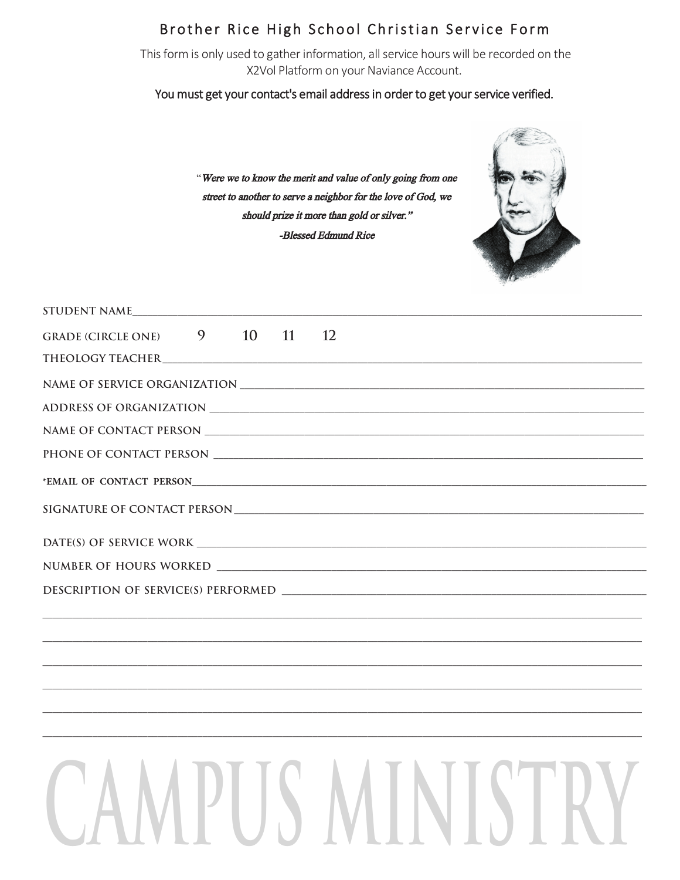### Brother Rice High School Christian Service Form

This form is only used to gather information, all service hours will be recorded on the X2Vol Platform on your Naviance Account.

#### You must get your contact's email address in order to get your service verified.

"Were we to know the merit and value of only going from one street to another to serve a neighbor for the love of God, we should prize it more than gold or silver." -Blessed Edmund Rice



| STUDENT NAME                                     |
|--------------------------------------------------|
| 9<br>10<br>11<br><b>GRADE (CIRCLE ONE)</b><br>12 |
|                                                  |
|                                                  |
|                                                  |
|                                                  |
|                                                  |
| *EMAIL OF CONTACT PERSON                         |
|                                                  |
|                                                  |
|                                                  |
|                                                  |
|                                                  |
|                                                  |
|                                                  |
|                                                  |
|                                                  |
|                                                  |
|                                                  |
|                                                  |